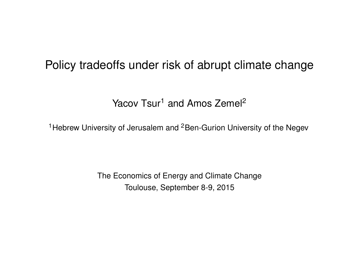# Policy tradeoffs under risk of abrupt climate change

Yacov Tsur<sup>1</sup> and Amos Zemel<sup>2</sup>

<sup>1</sup> Hebrew University of Jerusalem and <sup>2</sup> Ben-Gurion University of the Negev

The Economics of Energy and Climate Change Toulouse, September 8-9, 2015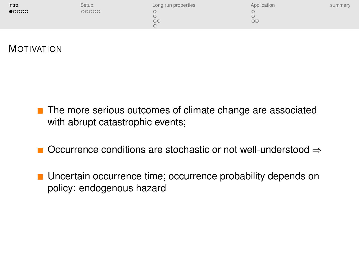<span id="page-1-0"></span>

| Intro          | Setup | Long run properties | Application | summary |
|----------------|-------|---------------------|-------------|---------|
| $\bullet$ 0000 | 00000 | $\circ$             | $\circ$     |         |
|                |       |                     |             |         |

## MOTIVATION

- The more serious outcomes of climate change are associated with abrupt catastrophic events;
- Occurrence conditions are stochastic or not well-understood ⇒
- Uncertain occurrence time; occurrence probability depends on policy: endogenous hazard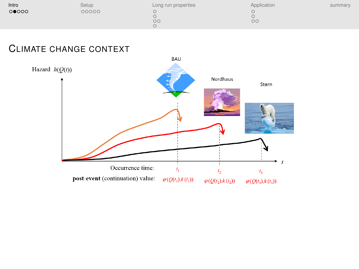| Intro | Setup | Long run properties | Application | summary |
|-------|-------|---------------------|-------------|---------|
| 00000 | 00000 | OС                  | $\circ$     |         |

#### CLIMATE CHANGE CONTEXT

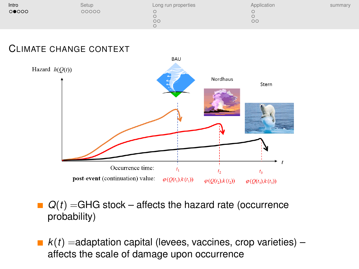| Intro | Setup | Long run properties | Application | summary |
|-------|-------|---------------------|-------------|---------|
| 00000 | 00000 |                     |             |         |
|       |       | $\circ$             | $\circ$     |         |

#### CLIMATE CHANGE CONTEXT



- $Q(t)$  =GHG stock affects the hazard rate (occurrence probability)
- $k(t)$  =adaptation capital (levees, vaccines, crop varieties) affects the scale of damage upon occurrence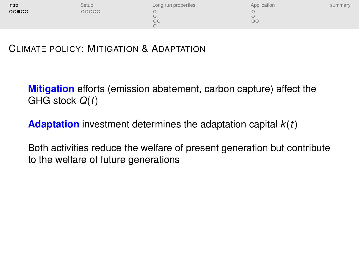| Intro | Setup | Long run properties | Application | summary |
|-------|-------|---------------------|-------------|---------|
| 00000 | 00000 | $\circ$             | $\circ$     |         |

CLIMATE POLICY: MITIGATION & ADAPTATION

**Mitigation** efforts (emission abatement, carbon capture) affect the GHG stock *Q*(*t*)

**Adaptation** investment determines the adaptation capital *k*(*t*)

Both activities reduce the welfare of present generation but contribute to the welfare of future generations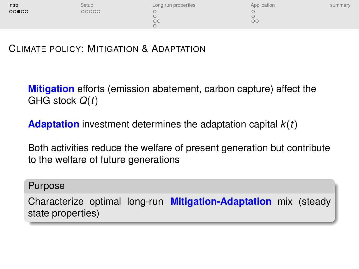| Intro | Setup | Long run properties | Application | summary |
|-------|-------|---------------------|-------------|---------|
| 00000 | 00000 |                     |             |         |
|       |       | OС                  | $\circ$     |         |

CLIMATE POLICY: MITIGATION & ADAPTATION

**Mitigation** efforts (emission abatement, carbon capture) affect the GHG stock *Q*(*t*)

**Adaptation** investment determines the adaptation capital *k*(*t*)

Both activities reduce the welfare of present generation but contribute to the welfare of future generations

#### Purpose

Characterize optimal long-run **Mitigation-Adaptation** mix (steady state properties)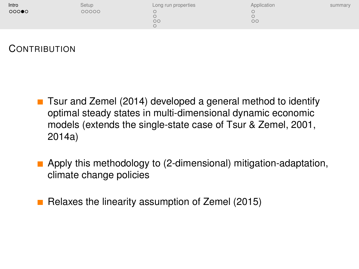| Intro | Setup | Long run properties | Application | summary |
|-------|-------|---------------------|-------------|---------|
| 00000 | 00000 |                     |             |         |
|       |       | $\circ$             | $\circ$     |         |

## **CONTRIBUTION**

- Tsur and Zemel (2014) developed a general method to identify optimal steady states in multi-dimensional dynamic economic models (extends the single-state case of Tsur & Zemel, 2001, 2014a)
- **Apply this methodology to (2-dimensional) mitigation-adaptation,** climate change policies
- Relaxes the linearity assumption of Zemel  $(2015)$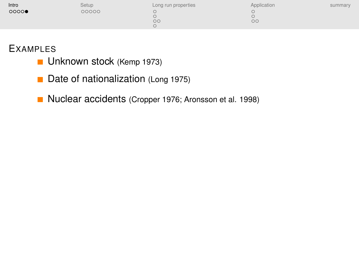| Intro | Setup | Long run properties | Application | summary |
|-------|-------|---------------------|-------------|---------|
| 0000  | 00000 | $\circ$             | $\circ$     |         |

#### **EXAMPLES**

- **Unknown stock (Kemp 1973)**
- $\blacksquare$ Date of nationalization (Long 1975)
- Nuclear accidents (Cropper 1976; Aronsson et al. 1998)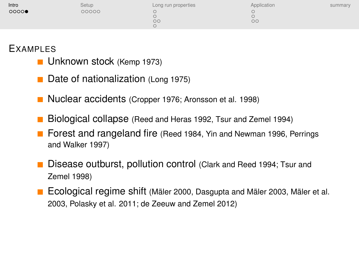| Intro | Setup | Long run properties | Application | summary |
|-------|-------|---------------------|-------------|---------|
| 0000  | 00000 |                     |             |         |
|       |       | $\circ$             | $\circ$     |         |

#### EXAMPLES

- **Unknown stock (Kemp 1973)**
- Date of nationalization (Long 1975) **The State**
- Nuclear accidents (Cropper 1976; Aronsson et al. 1998)
- Biological collapse (Reed and Heras 1992, Tsur and Zemel 1994)  $\mathcal{L}_{\mathcal{A}}$
- Forest and rangeland fire (Reed 1984, Yin and Newman 1996, Perrings and Walker 1997)
- Disease outburst, pollution control (Clark and Reed 1994; Tsur and Zemel 1998)
- Ecological regime shift (Mäler 2000, Dasgupta and Mäler 2003, Mäler et al. 2003, Polasky et al. 2011; de Zeeuw and Zemel 2012)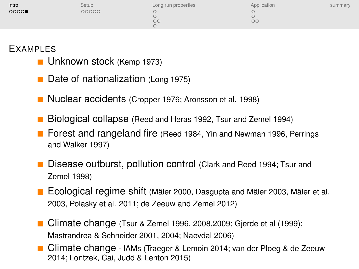| Intro | Setup | Long run properties | Application | summary |
|-------|-------|---------------------|-------------|---------|
| 0000  | 00000 |                     |             |         |
|       |       | $\circ$             | $\circ$     |         |

#### EXAMPLES

- **Unknown stock** (Kemp 1973)
- Date of nationalization (Long 1975)
- Nuclear accidents (Cropper 1976; Aronsson et al. 1998)
- Biological collapse (Reed and Heras 1992, Tsur and Zemel 1994)
- **Forest and rangeland fire** (Reed 1984, Yin and Newman 1996, Perrings and Walker 1997)
- Disease outburst, pollution control (Clark and Reed 1994; Tsur and Zemel 1998)
- **Ecological regime shift** (Mäler 2000, Dasgupta and Mäler 2003, Mäler et al. 2003, Polasky et al. 2011; de Zeeuw and Zemel 2012)
- Climate change (Tsur & Zemel 1996, 2008, 2009; Gierde et al (1999); Mastrandrea & Schneider 2001, 2004; Naevdal 2006)
- Climate change IAMs (Traeger & Lemoin 2014; van der Ploeg & de Zeeuw 2014; Lontzek, Cai, Judd & Lenton 2015)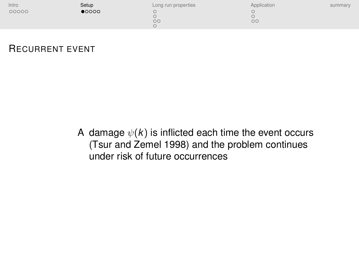<span id="page-10-0"></span>

| Intro | Setup          | Long run properties | Application | summary |
|-------|----------------|---------------------|-------------|---------|
| 00000 | $\bullet$ 0000 | $\circ$ c           | $\circ$     |         |

#### RECURRENT EVENT

A damage  $\psi(k)$  is inflicted each time the event occurs (Tsur and Zemel 1998) and the problem continues under risk of future occurrences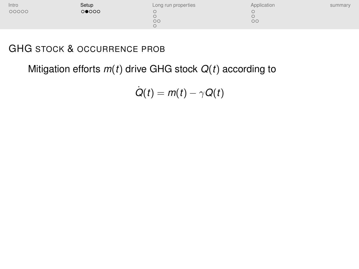| Intro | Setup | Long run properties | Application | summary |
|-------|-------|---------------------|-------------|---------|
| 00000 | 00000 |                     |             |         |
|       |       | $\circ$             | $\circ$     |         |

## GHG STOCK & OCCURRENCE PROB

Mitigation efforts *m*(*t*) drive GHG stock *Q*(*t*) according to

 $Q(t) = m(t) - \gamma Q(t)$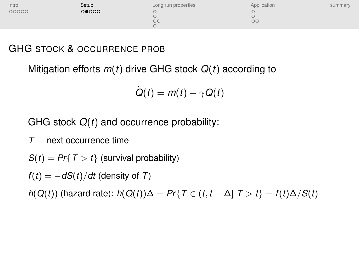| Intro | Setup | Long run properties | Application | summary |
|-------|-------|---------------------|-------------|---------|
| 00000 | 00000 |                     |             |         |
|       |       | $\circ$             | $\circ$     |         |

## GHG STOCK & OCCURRENCE PROB

Mitigation efforts *m*(*t*) drive GHG stock *Q*(*t*) according to

$$
\dot{Q}(t) = m(t) - \gamma Q(t)
$$

GHG stock *Q*(*t*) and occurrence probability:

 $T =$  next occurrence time

 $S(t) = Pr{T > t}$  (survival probability)

 $f(t) = -dS(t)/dt$  (density of *T*)

*h*(*Q*(*t*)) (hazard rate): *h*(*Q*(*t*))∆ = *Pr*{*T* ∈ (*t*, *t* + ∆]|*T* > *t*} = *f*(*t*)∆/*S*(*t*)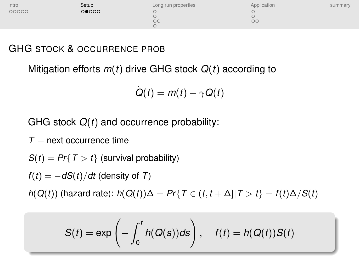| Intro | Setup | Long run properties | Application | summary |
|-------|-------|---------------------|-------------|---------|
| 00000 | 00000 |                     |             |         |
|       |       | $\circ$             | $\circ$     |         |

## GHG STOCK & OCCURRENCE PROB

Mitigation efforts *m*(*t*) drive GHG stock *Q*(*t*) according to

$$
\dot{Q}(t) = m(t) - \gamma Q(t)
$$

GHG stock *Q*(*t*) and occurrence probability:

 $T =$  next occurrence time

 $S(t) = Pr{T > t}$  (survival probability)

 $f(t) = -dS(t)/dt$  (density of *T*)

*h*(*Q*(*t*)) (hazard rate): *h*(*Q*(*t*))∆ = *Pr*{*T* ∈ (*t*, *t* + ∆]|*T* > *t*} = *f*(*t*)∆/*S*(*t*)

$$
S(t) = \exp\left(-\int_0^t h(Q(s))ds\right), \quad f(t) = h(Q(t))S(t)
$$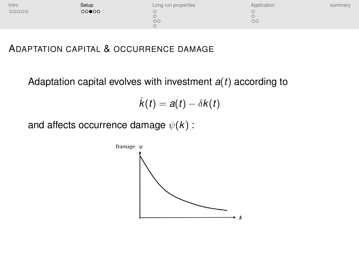| Intro | Setup | Long run properties | Application | summary |
|-------|-------|---------------------|-------------|---------|
| 00000 | 00000 | $\circ$             | $\circ$     |         |

#### ADAPTATION CAPITAL & OCCURRENCE DAMAGE

Adaptation capital evolves with investment *a*(*t*) according to

$$
\dot{k}(t) = a(t) - \delta k(t)
$$

and affects occurrence damage  $\psi(k)$ :

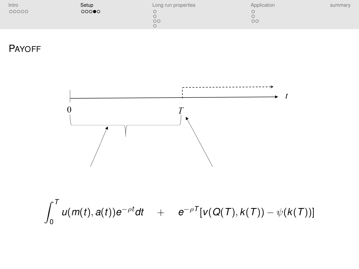| Intro | Setup | Long run properties | Application | summary |
|-------|-------|---------------------|-------------|---------|
| 00000 | 000   | $\circ$             | $\circ$     |         |

PAYOFF

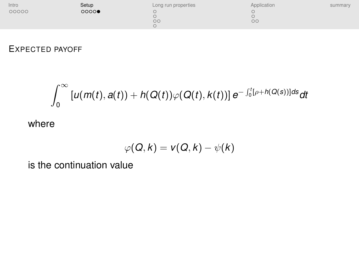| Intro | Setup | Long run properties | Application | summary |
|-------|-------|---------------------|-------------|---------|
| 00000 | 0000  | $\circ$             | $\circ$     |         |
|       |       |                     |             |         |

#### EXPECTED PAYOFF

$$
\int_0^\infty \left[ u(m(t),a(t)) + h(Q(t))\varphi(Q(t),k(t)) \right] e^{-\int_0^t [\rho+h(Q(s))]ds} dt
$$

where

$$
\varphi(Q,k)=v(Q,k)-\psi(k)
$$

is the continuation value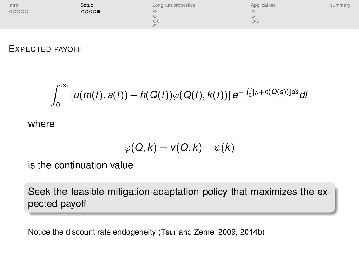| Intro | Setup | Long run properties | Application | summary |
|-------|-------|---------------------|-------------|---------|
| 00000 | 0000  | $\circ$             | $\circ$     |         |
|       |       |                     |             |         |

#### EXPECTED PAYOFF

$$
\int_0^\infty \left[ u(m(t),a(t)) + h(Q(t))\varphi(Q(t),k(t)) \right] e^{-\int_0^t [\rho+h(Q(s))]ds} dt
$$

where

$$
\varphi(Q,k)=v(Q,k)-\psi(k)
$$

is the continuation value

Seek the feasible mitigation-adaptation policy that maximizes the expected payoff

Notice the discount rate endogeneity (Tsur and Zemel 2009, 2014b)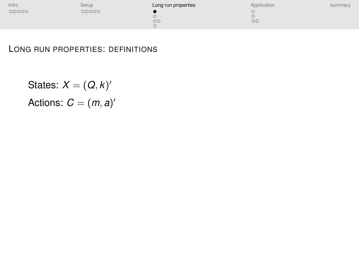<span id="page-18-0"></span>

| Intro | Setup | Long run properties | Application | summary |
|-------|-------|---------------------|-------------|---------|
| 00000 | 00000 |                     |             |         |
|       |       | $\circ$             | $\circ$     |         |
|       |       |                     |             |         |

#### LONG RUN PROPERTIES: DEFINITIONS

States:  $X = (Q, k)$ <sup>'</sup> Actions:  $C = (m, a)^t$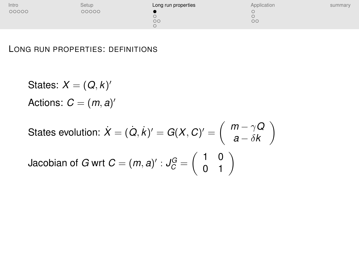| Intro | Setup | Long run properties | Application | summary |
|-------|-------|---------------------|-------------|---------|
| 00000 | 00000 |                     |             |         |
|       |       | $\circ$             | $\circ$     |         |

#### LONG RUN PROPERTIES: DEFINITIONS

States:  $X = (Q, k)$ <sup>'</sup> Actions:  $C = (m, a)^t$ 

States evolution: 
$$
\dot{X} = (\dot{Q}, \dot{k})' = G(X, C)' = \begin{pmatrix} m - \gamma Q \\ a - \delta k \end{pmatrix}
$$

\nJacobian of 
$$
G \text{ wrt } C = (m, a)' : J_C^G = \begin{pmatrix} 1 & 0 \\ 0 & 1 \end{pmatrix}
$$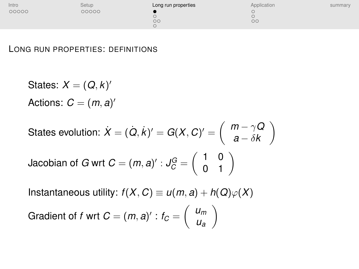| Intro | Setup | Long run properties | Application | summary |
|-------|-------|---------------------|-------------|---------|
| 00000 | 00000 |                     |             |         |
|       |       | $\circ$             | $\circ$     |         |

#### LONG RUN PROPERTIES: DEFINITIONS

States:  $X = (Q, k)$ <sup>'</sup> Actions:  $C = (m, a)^t$ 

States evolution: 
$$
\dot{X} = (\dot{Q}, \dot{k})' = G(X, C)' = \begin{pmatrix} m - \gamma Q \\ a - \delta k \end{pmatrix}
$$

Jacobian of *G* wrt  $C = (m, a)' : J_C^G = \left( \begin{array}{cc} 1 & 0 \ 0 & 1 \end{array} \right)$ 

Instantaneous utility:  $f(X, C) \equiv u(m, a) + h(Q)\varphi(X)$ 

Gradient of f wrt 
$$
C = (m, a)': t_C = \begin{pmatrix} u_m \\ u_a \end{pmatrix}
$$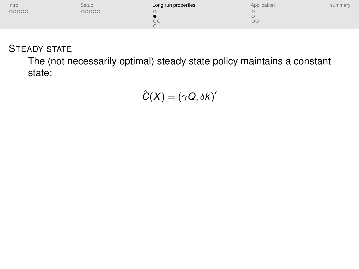| Intro | Setup | Long run properties | Application | summary |
|-------|-------|---------------------|-------------|---------|
| 00000 | 00000 | $\circ$             | $\circ$     |         |

## STEADY STATE

The (not necessarily optimal) steady state policy maintains a constant state:

$$
\hat{C}(X)=(\gamma Q,\delta k)'
$$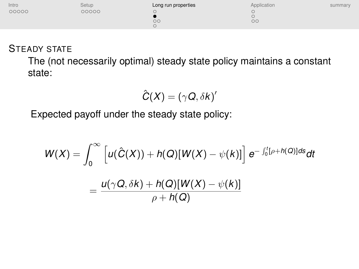| Intro | Setup | Long run properties | Application | summary |
|-------|-------|---------------------|-------------|---------|
| 00000 | 00000 | $\circ$             | $\circ$     |         |

## STEADY STATE

The (not necessarily optimal) steady state policy maintains a constant state:

$$
\hat{C}(X)=(\gamma Q,\delta k)'
$$

Expected payoff under the steady state policy:

$$
W(X) = \int_0^\infty \left[ u(\hat{C}(X)) + h(Q)[W(X) - \psi(k)] \right] e^{-\int_0^t [\rho + h(Q)]ds} dt
$$
  
= 
$$
\frac{u(\gamma Q, \delta k) + h(Q)[W(X) - \psi(k)]}{\rho + h(Q)}
$$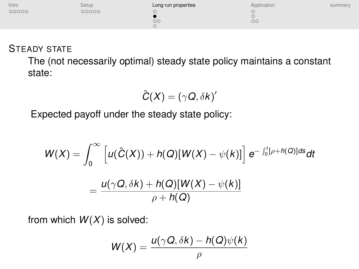| Setup | Long run properties | Application | summary |
|-------|---------------------|-------------|---------|
| 00000 |                     |             |         |
|       | $\circ$             | $\circ$     |         |
|       |                     |             |         |

#### STEADY STATE

The (not necessarily optimal) steady state policy maintains a constant state:

$$
\hat{C}(X)=(\gamma Q,\delta k)'
$$

Expected payoff under the steady state policy:

$$
W(X) = \int_0^\infty \left[ u(\hat{C}(X)) + h(Q)[W(X) - \psi(k)] \right] e^{-\int_0^t [\rho + h(Q)]ds} dt
$$
  
= 
$$
\frac{u(\gamma Q, \delta k) + h(Q)[W(X) - \psi(k)]}{\rho + h(Q)}
$$

from which *W*(*X*) is solved:

$$
W(X) = \frac{u(\gamma Q, \delta k) - h(Q)\psi(k)}{\rho}
$$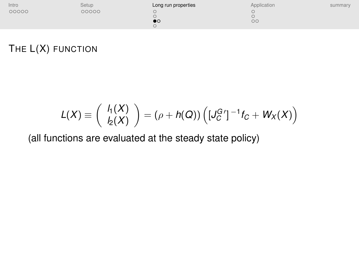| Intro | Setup | Long run properties | Application | summary |
|-------|-------|---------------------|-------------|---------|
| 00000 | 00000 |                     |             |         |
|       |       | $\bullet\circ$      | $\circ$     |         |

# THE L(X) FUNCTION

$$
L(X) \equiv \begin{pmatrix} h(X) \\ h_2(X) \end{pmatrix} = (\rho + h(Q)) \left( [J_C^G']^{-1} f_C + W_X(X) \right)
$$

(all functions are evaluated at the steady state policy)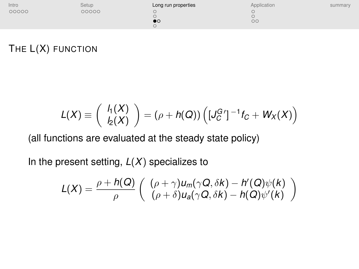| Intro | Setup | Long run properties | Application | summary |
|-------|-------|---------------------|-------------|---------|
| 00000 | 00000 |                     |             |         |
|       |       |                     |             |         |
|       |       | DO                  | $\circ$     |         |
|       |       |                     |             |         |

## THE L(X) FUNCTION

$$
L(X) \equiv \begin{pmatrix} h(X) \\ h_2(X) \end{pmatrix} = (\rho + h(Q)) \left( [J_C^G']^{-1} f_C + W_X(X) \right)
$$

(all functions are evaluated at the steady state policy)

In the present setting,  $L(X)$  specializes to

$$
L(X) = \frac{\rho + h(Q)}{\rho} \left( \begin{array}{c} (\rho + \gamma)u_m(\gamma Q, \delta k) - h'(Q)\psi(k) \\ (\rho + \delta)u_a(\gamma Q, \delta k) - h(Q)\psi'(k) \end{array} \right)
$$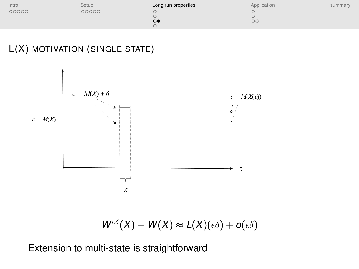| Intro | Setup | Long run properties | Application | summary |
|-------|-------|---------------------|-------------|---------|
| 00000 | 00000 | $\circ$             | $\circ$     |         |

# L(X) MOTIVATION (SINGLE STATE)



$$
W^{\epsilon\delta}(X) - W(X) \approx L(X)(\epsilon\delta) + o(\epsilon\delta)
$$

Extension to multi-state is straightforward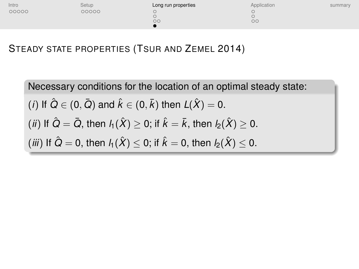| Intro | Setup | Long run properties | Application | summary |
|-------|-------|---------------------|-------------|---------|
| 00000 | 00000 | $\circ$             | $\circ$     |         |

## STEADY STATE PROPERTIES (TSUR AND ZEMEL 2014)

Necessary conditions for the location of an optimal steady state:  $(i)$  If  $\hat{Q} \in (0, \bar{\mathit{Q}})$  and  $\hat{k} \in (0, \bar{k})$  then  $\mathit{L}(\hat{X}) = 0$ . (*ii*) If  $\hat{Q} = \bar{Q}$ , then  $l_1(\hat{X}) \geq 0$ ; if  $\hat{k} = \bar{k}$ , then  $l_2(\hat{X}) > 0$ . (*iii*) If  $\hat{Q} = 0$ , then  $l_1(\hat{X}) \leq 0$ ; if  $\hat{k} = 0$ , then  $l_2(\hat{X}) \leq 0$ .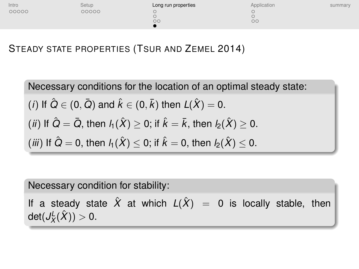| Intro | Setup | Long run properties | Application | summary |
|-------|-------|---------------------|-------------|---------|
| 00000 | 00000 | $\circ$             | $\circ$     |         |

## STEADY STATE PROPERTIES (TSUR AND ZEMEL 2014)

Necessary conditions for the location of an optimal steady state:  $(i)$  If  $\hat{Q} \in (0, \bar{\mathit{Q}})$  and  $\hat{k} \in (0, \bar{k})$  then  $\mathit{L}(\hat{X}) = 0$ .  $(iii)$  If  $\hat{Q} = \bar{Q}$ , then  $l_1(\hat{X}) > 0$ ; if  $\hat{k} = \bar{k}$ , then  $l_2(\hat{X}) > 0$ . (*iii*) If  $\hat{Q} = 0$ , then  $l_1(\hat{X}) \leq 0$ ; if  $\hat{k} = 0$ , then  $l_2(\hat{X}) \leq 0$ .

Necessary condition for stability:

If a steady state  $\hat{X}$  at which  $L(\hat{X}) = 0$  is locally stable, then  $\mathsf{det}(J_X^{\mathsf{L}}(\hat{X})) > 0.$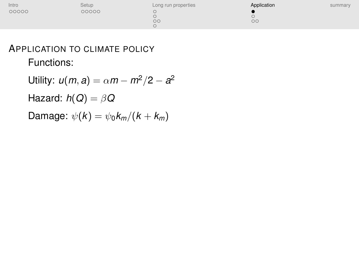<span id="page-29-0"></span>

| Intro | Setup | Long run properties | Application | summary |
|-------|-------|---------------------|-------------|---------|
| 00000 | 00000 | $\circ$ c           | $\circ$ c   |         |

# APPLICATION TO CLIMATE POLICY Functions:

Utility:  $u(m, a) = \alpha m - m^2/2 - a^2$ Hazard:  $h(Q) = \beta Q$ Damage:  $\psi(k) = \psi_0 k_m / (k + k_m)$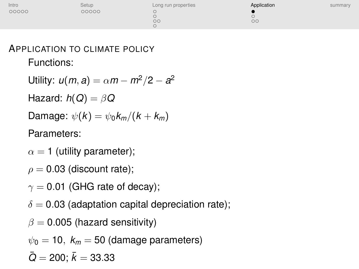| Intro | Setup | Long run properties | Application | summary |
|-------|-------|---------------------|-------------|---------|
| 00000 | 00000 |                     |             |         |
|       |       | $\circ$             | $\circ$     |         |

# APPLICATION TO CLIMATE POLICY Functions:

- Utility:  $u(m, a) = \alpha m m^2/2 a^2$ Hazard:  $h(Q) = \beta Q$ Damage:  $\psi(k) = \psi_0 k_m / (k + k_m)$ Parameters:
- $\alpha = 1$  (utility parameter);
- $\rho = 0.03$  (discount rate);
- $\gamma = 0.01$  (GHG rate of decay);
- $\delta = 0.03$  (adaptation capital depreciation rate);
- $\beta = 0.005$  (hazard sensitivity)
- $\psi_0 = 10$ ,  $k_m = 50$  (damage parameters)
- $\bar{Q} = 200$ ;  $\bar{k} = 33.33$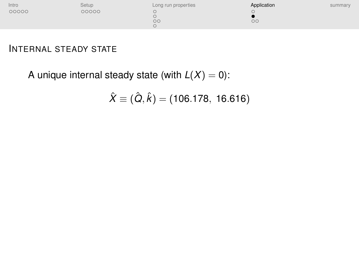| Intro | Setup | Long run properties | Application | summary |
|-------|-------|---------------------|-------------|---------|
| 00000 | 00000 |                     |             |         |
|       |       | $\circ$             | $\circ$     |         |

A unique internal steady state (with  $L(X) = 0$ ):

$$
\hat{X} \equiv (\hat{Q}, \hat{k}) = (106.178, 16.616)
$$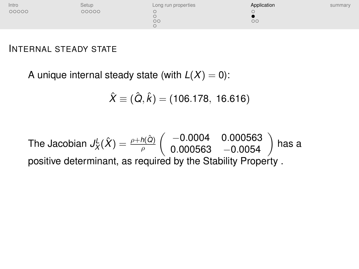

A unique internal steady state (with  $L(X) = 0$ ):

$$
\hat{X} \equiv (\hat{Q}, \hat{k}) = (106.178, 16.616)
$$

The Jacobian  $J_X^L(\hat{X}) = \frac{\rho + h(\hat{Q})}{\rho}$  $\begin{pmatrix} -0.0004 & 0.000563 \\ 0.000563 & -0.0054 \end{pmatrix}$  has a positive determinant, as required by the Stability Property .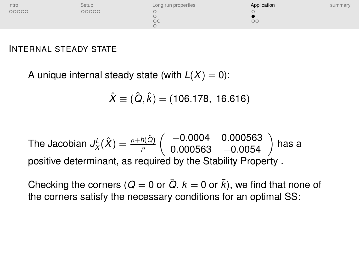

A unique internal steady state (with  $L(X) = 0$ ):

$$
\hat{X} \equiv (\hat{Q}, \hat{k}) = (106.178, 16.616)
$$

The Jacobian 
$$
J_X^L(\hat{X}) = \frac{\rho + h(\hat{Q})}{\rho} \begin{pmatrix} -0.0004 & 0.000563 \\ 0.000563 & -0.0054 \end{pmatrix}
$$
 has a positive determinant, as required by the Stability Property.

Checking the corners ( $Q = 0$  or  $\overline{Q}$ ,  $k = 0$  or  $\overline{k}$ ), we find that none of the corners satisfy the necessary conditions for an optimal SS: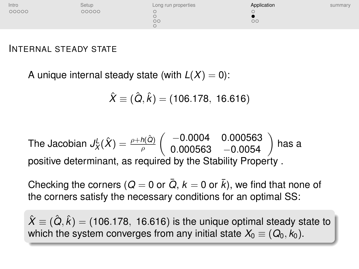

A unique internal steady state (with  $L(X) = 0$ ):

$$
\hat{X} \equiv (\hat{Q}, \hat{k}) = (106.178, 16.616)
$$

The Jacobian 
$$
J_X^L(\hat{X}) = \frac{\rho + h(\hat{Q})}{\rho} \begin{pmatrix} -0.0004 & 0.000563 \\ 0.000563 & -0.0054 \end{pmatrix}
$$
 has a positive determinant, as required by the Stability Property.

Checking the corners ( $Q = 0$  or  $\overline{Q}$ ,  $k = 0$  or  $\overline{k}$ ), we find that none of the corners satisfy the necessary conditions for an optimal SS:

 $\hat{X}\equiv(\hat{\bm{Q}},\hat{k})$  = (106.178, 16.616) is the unique optimal steady state to which the system converges from any initial state  $X_0 \equiv (Q_0, k_0)$ .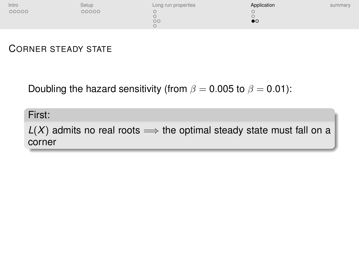| Intro | Setup | Long run properties | Application        | summary |
|-------|-------|---------------------|--------------------|---------|
| 00000 | 00000 |                     |                    |         |
|       |       |                     |                    |         |
|       |       | $\circ$             | $\mathbf{p} \circ$ |         |
|       |       |                     |                    |         |

#### CORNER STEADY STATE

Doubling the hazard sensitivity (from  $\beta = 0.005$  to  $\beta = 0.01$ ):

First:

 $L(X)$  admits no real roots  $\implies$  the optimal steady state must fall on a corner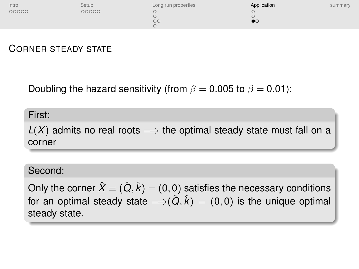| Intro | Setup | Long run properties | Application | summary |
|-------|-------|---------------------|-------------|---------|
| 00000 | 00000 |                     |             |         |
|       |       |                     |             |         |
|       |       | $\circ$ c           |             |         |
|       |       |                     |             |         |

#### CORNER STEADY STATE

Doubling the hazard sensitivity (from  $\beta = 0.005$  to  $\beta = 0.01$ ):

#### First:

 $L(X)$  admits no real roots  $\implies$  the optimal steady state must fall on a corner

#### Second:

Only the corner  $\hat{X}\equiv(\hat{\bm{Q}},\hat{k})$   $=(0,0)$  satisfies the necessary conditions for an optimal steady state  $\Longrightarrow$   $(\hat{Q}, \hat{k}) = (0, 0)$  is the unique optimal steady state.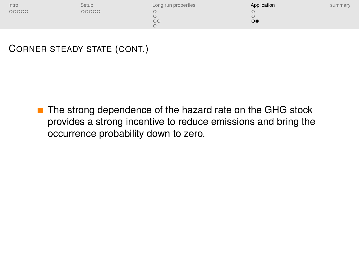| Intro | Setup | Long run properties | Application    | summary |
|-------|-------|---------------------|----------------|---------|
| 00000 | 00000 |                     |                |         |
|       |       |                     |                |         |
|       |       | $\circ$             | $\circ\bullet$ |         |
|       |       |                     |                |         |

## CORNER STEADY STATE (CONT.)

■ The strong dependence of the hazard rate on the GHG stock provides a strong incentive to reduce emissions and bring the occurrence probability down to zero.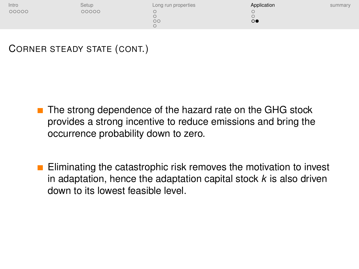| Intro | Setup | Long run properties | Application    | summary |
|-------|-------|---------------------|----------------|---------|
| 00000 | 00000 |                     |                |         |
|       |       |                     |                |         |
|       |       | $\circ$             | $\circ\bullet$ |         |
|       |       |                     |                |         |

## CORNER STEADY STATE (CONT.)

- $\blacksquare$  The strong dependence of the hazard rate on the GHG stock provides a strong incentive to reduce emissions and bring the occurrence probability down to zero.
- **Eliminating the catastrophic risk removes the motivation to invest** in adaptation, hence the adaptation capital stock *k* is also driven down to its lowest feasible level.